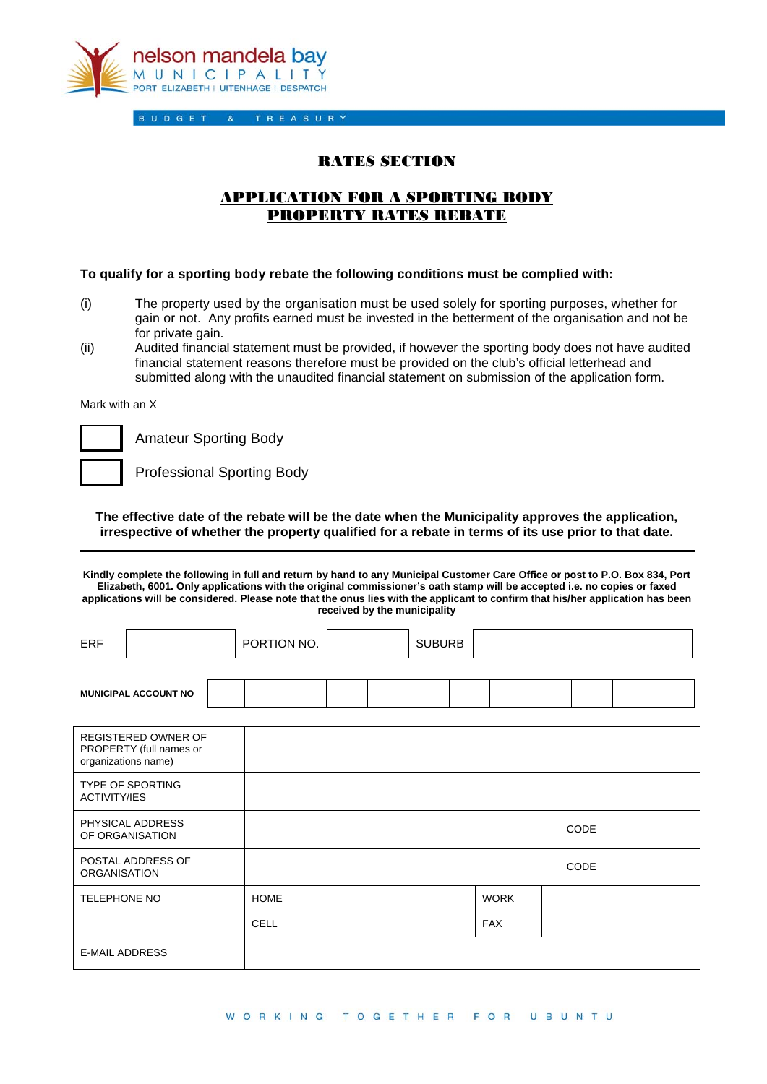

 $\alpha$ 

## RATES SECTION

## APPLICATION FOR A SPORTING BODY PROPERTY RATES REBATE

## **To qualify for a sporting body rebate the following conditions must be complied with:**

- (i) The property used by the organisation must be used solely for sporting purposes, whether for gain or not. Any profits earned must be invested in the betterment of the organisation and not be for private gain.
- (ii) Audited financial statement must be provided, if however the sporting body does not have audited financial statement reasons therefore must be provided on the club's official letterhead and submitted along with the unaudited financial statement on submission of the application form.

Mark with an X

Amateur Sporting Body

Professional Sporting Body

**The effective date of the rebate will be the date when the Municipality approves the application, irrespective of whether the property qualified for a rebate in terms of its use prior to that date.** 

**Kindly complete the following in full and return by hand to any Municipal Customer Care Office or post to P.O. Box 834, Port Elizabeth, 6001. Only applications with the original commissioner's oath stamp will be accepted i.e. no copies or faxed applications will be considered. Please note that the onus lies with the applicant to confirm that his/her application has been received by the municipality** 

| <b>ERF</b>                                                                   |                             |             | PORTION NO. |  |  | <b>SUBURB</b> |  |  |            |      |  |  |
|------------------------------------------------------------------------------|-----------------------------|-------------|-------------|--|--|---------------|--|--|------------|------|--|--|
|                                                                              | <b>MUNICIPAL ACCOUNT NO</b> |             |             |  |  |               |  |  |            |      |  |  |
| <b>REGISTERED OWNER OF</b><br>PROPERTY (full names or<br>organizations name) |                             |             |             |  |  |               |  |  |            |      |  |  |
| <b>TYPE OF SPORTING</b><br><b>ACTIVITY/IES</b>                               |                             |             |             |  |  |               |  |  |            |      |  |  |
| PHYSICAL ADDRESS<br>OF ORGANISATION                                          |                             |             |             |  |  |               |  |  |            | CODE |  |  |
| POSTAL ADDRESS OF<br><b>ORGANISATION</b>                                     |                             |             |             |  |  |               |  |  |            | CODE |  |  |
| <b>TELEPHONE NO</b>                                                          |                             | <b>HOME</b> |             |  |  | <b>WORK</b>   |  |  |            |      |  |  |
|                                                                              |                             |             | <b>CELL</b> |  |  |               |  |  | <b>FAX</b> |      |  |  |
| <b>E-MAIL ADDRESS</b>                                                        |                             |             |             |  |  |               |  |  |            |      |  |  |